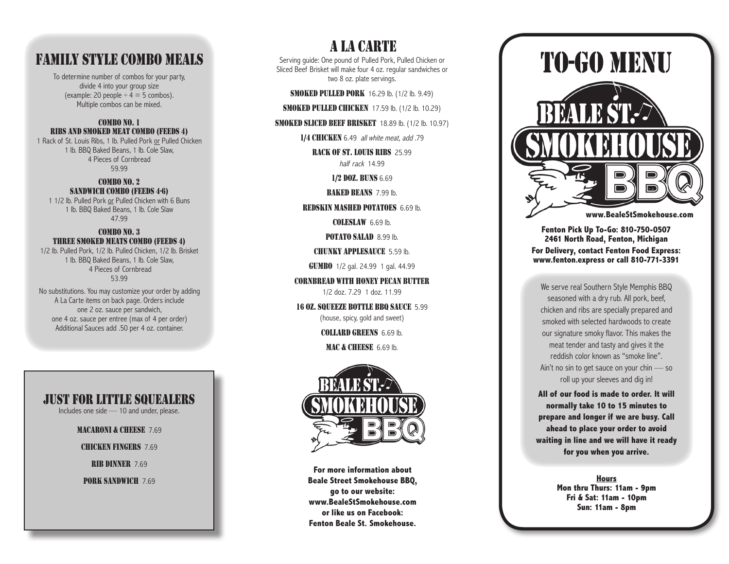# F a mil y Sty l e Combo M eals

To determine number of combos for your party, divide 4 into your group size (example: 20 people  $\div$  4 = 5 combos). Multiple combos can be mixed.

#### COMBO NO. 1 RI B S AND SMOKED ME AT COMBO ( FEED S 4) 1 Rack of St. Louis Ribs, 1 lb. Pulled Pork or Pulled Chicken

1 lb. BBQ Baked Beans, 1 lb. Cole Slaw, 4 Pieces of Cornbread 59.99

#### COMBO NO. 2 SANDW ICH COMBO ( FEED S 4-6) 1 1/2 lb. Pulled Pork or Pulled Chicken with 6 Buns

1 lb. BBQ Baked Beans, 1 lb. Cole Slaw 47.99

## COMBO NO. 3 THREE SMOKED MEATS COMBO (FEEDS 4)

1/2 lb. Pulled Pork, 1/2 lb. Pulled Chicken, 1/2 lb. Brisket 1 lb. BBQ Baked Beans, 1 lb. Cole Slaw, 4 Pieces of Cornbread 53.99

No substitutions. You may customize your order by adding A La Carte items on back page. Orders include one 2 oz. sauce per sandwich, one 4 oz. sauce per entree (max of 4 per order) Additional Sauces add .50 per 4 oz. container.

## J u s t f or litt l e squeal ers

Includes one side — 10 and under, please.

MACARONI & CHEESE 7.69

CH ICKEN FINGERS 7.69

RIB DINNER 7.69

PORK SANDWICH 7.69

Serving guide: One pound of Pulled Pork, Pulled Chicken or Sliced Beef Brisket will make four 4 oz. regular sandwiches or **A LA CARTE**<br>the pound of Pulled Pork,<br>i will make four 4 oz. reg<br>two 8 oz. plate servings.

**SMOKED PULLED PORK** 16.29 lb. (1/2 lb. 9.49)

**SMOKED PULLED CHICKEN** 17.59 lb. (1/2 lb. 10.29)

SMOKED SLICED BEE F BRISKET 18.89 lb. (1/2 lb. 10.97)

1/4 CHICKEN 6.49 all white meat, add .79

RACK OF ST. LOUIS RIBS 25.99 half rack 14.99

1/2 DOZ. BUN S 6.69

BAKED BEANS 7.99 lb.

**REDSKIN MASHED POTATOES** 6.69 lb.

CO L ESLAW 6.69 lb.

POT ATO SALAD 8.99 lb.

CHUNKY APP L ESAUCE 5.59 lb.

GUMBO 1/2 gal. 24.99 1 gal. 44.99

CO RNB R E AD W ITH HONEY PEC AN BUTTE R 1/2 doz. 7.29 1 doz. 11.99

16 OZ. SQUEEZE BOTT LE BB Q SAUCE 5.99 (house, spicy, gold and sweet)

COLLARD G REEN S 6.69 lb.

M AC & CHEE SE 6.69 lb.



**For more information about Beale Street Smokehouse BBQ, go to our website: www.BealeStSmokehouse.com or like us on Facebook: Fenton Beale St. Smokehouse.** 



### **Fenton Pick Up To-Go: 810-750-0507 2461 North Road, Fenton, Michigan For Delivery, contact Fenton Food Express: www.fenton.express or call 810-771-3391**

We serve real Southern Style Memphis BBQ seasoned with a dry rub. All pork, beef, chicken and ribs are specially prepared and smoked with selected hardwoods to create our signature smoky flavor. This makes the meat tender and tasty and gives it the reddish color known as "smoke line". Ain't no sin to get sauce on your chin — so roll up your sleeves and dig in!

**All of our food is made to order. It will normally take 10 to 15 minutes to prepare and longer if we are busy. Call ahead to place your order to avoid waiting in line and we will have it ready for you when you arrive.**

> **Hours Mon thru Thurs: 11am - 9pm Fri & Sat: 11am - 10pm Sun: 11am - 8pm**